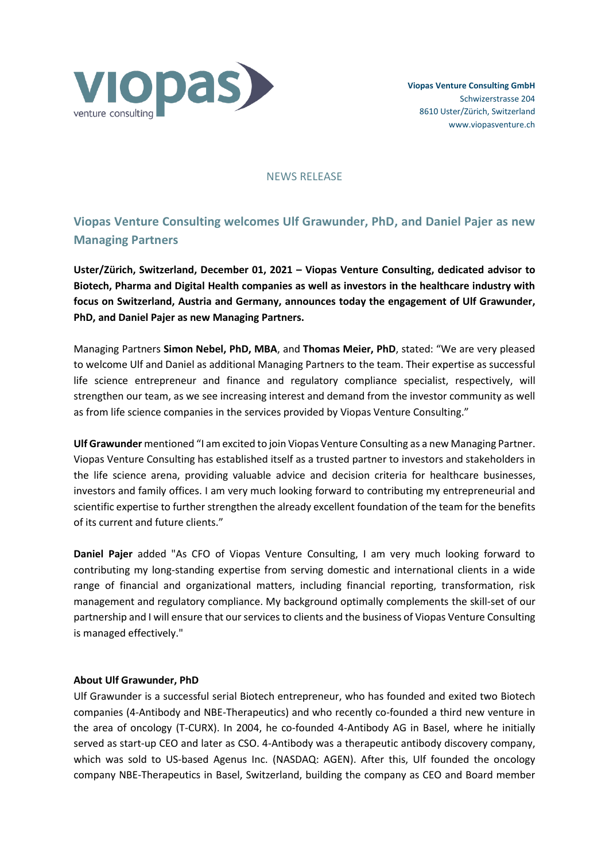

NEWS RELEASE

# **Viopas Venture Consulting welcomes Ulf Grawunder, PhD, and Daniel Pajer as new Managing Partners**

**Uster/Zürich, Switzerland, December 01, 2021 – Viopas Venture Consulting, dedicated advisor to Biotech, Pharma and Digital Health companies as well as investors in the healthcare industry with focus on Switzerland, Austria and Germany, announces today the engagement of Ulf Grawunder, PhD, and Daniel Pajer as new Managing Partners.**

Managing Partners **Simon Nebel, PhD, MBA**, and **Thomas Meier, PhD**, stated: "We are very pleased to welcome Ulf and Daniel as additional Managing Partners to the team. Their expertise as successful life science entrepreneur and finance and regulatory compliance specialist, respectively, will strengthen our team, as we see increasing interest and demand from the investor community as well as from life science companies in the services provided by Viopas Venture Consulting."

**Ulf Grawunder** mentioned "I am excited to join Viopas Venture Consulting as a new Managing Partner. Viopas Venture Consulting has established itself as a trusted partner to investors and stakeholders in the life science arena, providing valuable advice and decision criteria for healthcare businesses, investors and family offices. I am very much looking forward to contributing my entrepreneurial and scientific expertise to further strengthen the already excellent foundation of the team for the benefits of its current and future clients."

**Daniel Pajer** added "As CFO of Viopas Venture Consulting, I am very much looking forward to contributing my long-standing expertise from serving domestic and international clients in a wide range of financial and organizational matters, including financial reporting, transformation, risk management and regulatory compliance. My background optimally complements the skill-set of our partnership and I will ensure that our services to clients and the business of Viopas Venture Consulting is managed effectively."

## **About Ulf Grawunder, PhD**

Ulf Grawunder is a successful serial Biotech entrepreneur, who has founded and exited two Biotech companies (4-Antibody and NBE-Therapeutics) and who recently co-founded a third new venture in the area of oncology (T-CURX). In 2004, he co-founded 4-Antibody AG in Basel, where he initially served as start-up CEO and later as CSO. 4-Antibody was a therapeutic antibody discovery company, which was sold to US-based Agenus Inc. (NASDAQ: AGEN). After this, Ulf founded the oncology company NBE-Therapeutics in Basel, Switzerland, building the company as CEO and Board member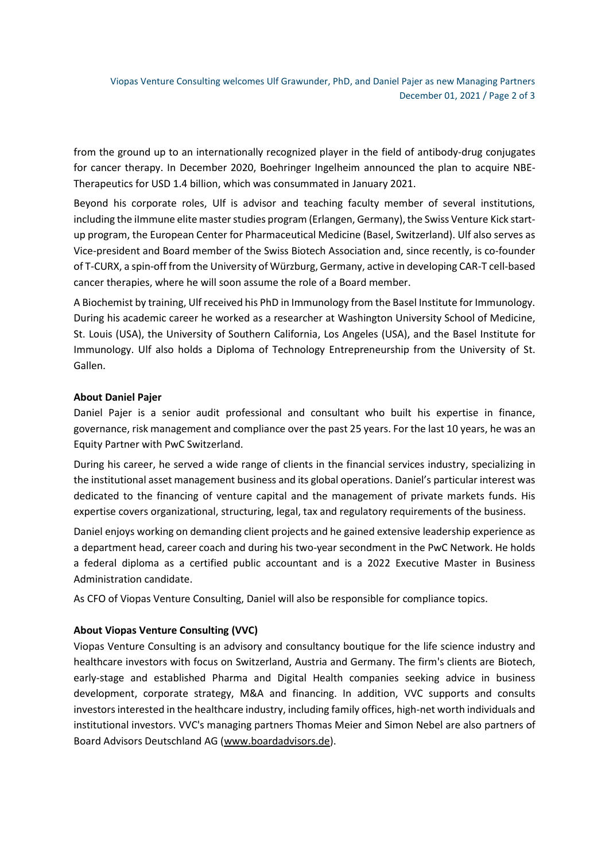Viopas Venture Consulting welcomes Ulf Grawunder, PhD, and Daniel Pajer as new Managing Partners December 01, 2021 / Page 2 of 3

from the ground up to an internationally recognized player in the field of antibody-drug conjugates for cancer therapy. In December 2020, Boehringer Ingelheim announced the plan to acquire NBE-Therapeutics for USD 1.4 billion, which was consummated in January 2021.

Beyond his corporate roles, Ulf is advisor and teaching faculty member of several institutions, including the ilmmune elite master studies program (Erlangen, Germany), the Swiss Venture Kick startup program, the European Center for Pharmaceutical Medicine (Basel, Switzerland). Ulf also serves as Vice-president and Board member of the Swiss Biotech Association and, since recently, is co-founder of T-CURX, a spin-off from the University of Würzburg, Germany, active in developing CAR-T cell-based cancer therapies, where he will soon assume the role of a Board member.

A Biochemist by training, Ulf received his PhD in Immunology from the Basel Institute for Immunology. During his academic career he worked as a researcher at Washington University School of Medicine, St. Louis (USA), the University of Southern California, Los Angeles (USA), and the Basel Institute for Immunology. Ulf also holds a Diploma of Technology Entrepreneurship from the University of St. Gallen.

### **About Daniel Pajer**

Daniel Pajer is a senior audit professional and consultant who built his expertise in finance, governance, risk management and compliance over the past 25 years. For the last 10 years, he was an Equity Partner with PwC Switzerland.

During his career, he served a wide range of clients in the financial services industry, specializing in the institutional asset management business and its global operations. Daniel's particular interest was dedicated to the financing of venture capital and the management of private markets funds. His expertise covers organizational, structuring, legal, tax and regulatory requirements of the business.

Daniel enjoys working on demanding client projects and he gained extensive leadership experience as a department head, career coach and during his two-year secondment in the PwC Network. He holds a federal diploma as a certified public accountant and is a 2022 Executive Master in Business Administration candidate.

As CFO of Viopas Venture Consulting, Daniel will also be responsible for compliance topics.

### **About Viopas Venture Consulting (VVC)**

Viopas Venture Consulting is an advisory and consultancy boutique for the life science industry and healthcare investors with focus on Switzerland, Austria and Germany. The firm's clients are Biotech, early-stage and established Pharma and Digital Health companies seeking advice in business development, corporate strategy, M&A and financing. In addition, VVC supports and consults investors interested in the healthcare industry, including family offices, high-net worth individuals and institutional investors. VVC's managing partners Thomas Meier and Simon Nebel are also partners of Board Advisors Deutschland AG [\(www.boardadvisors.de\)](http://www.boardadvisors.de/).